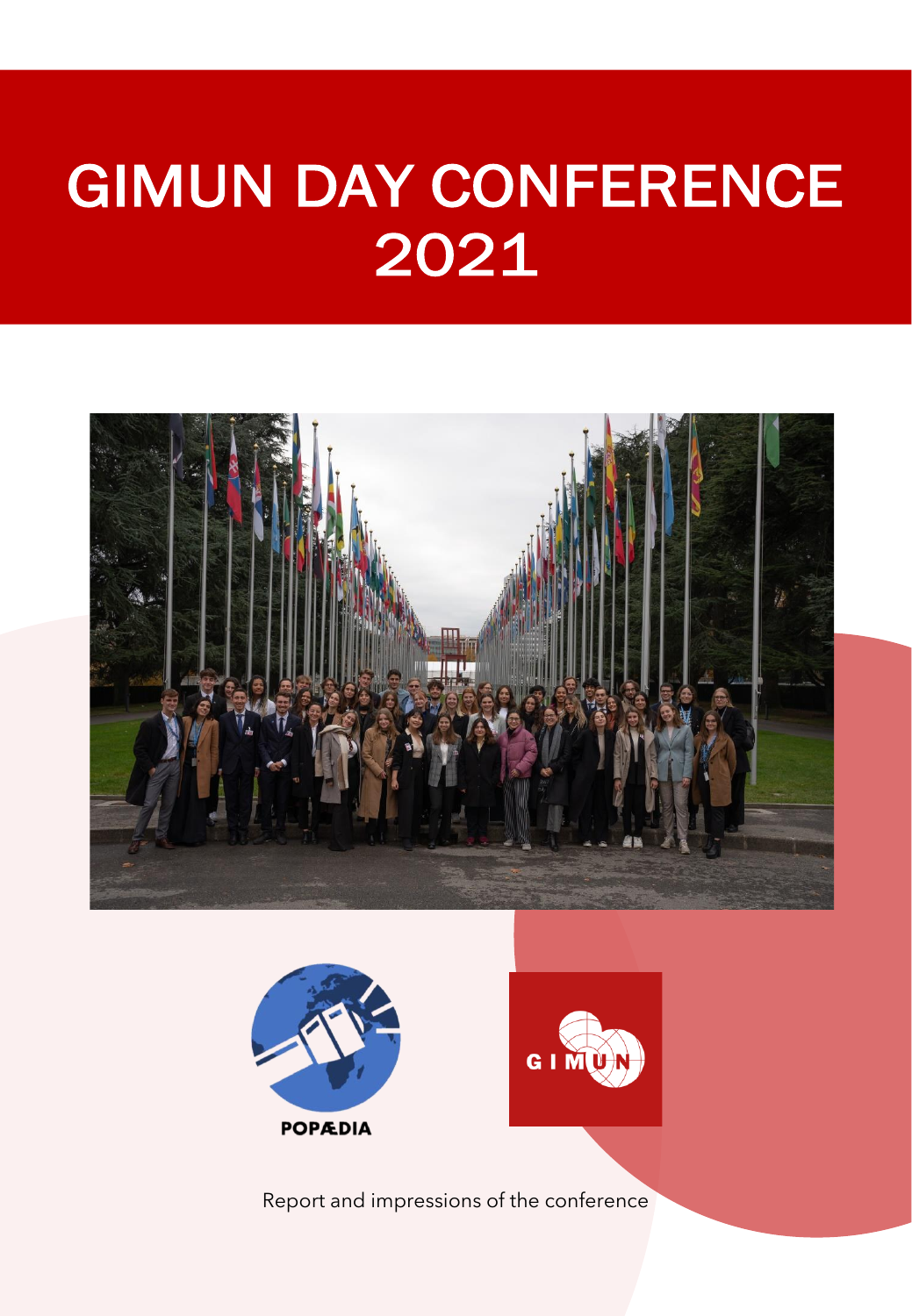





Report and impressions of the conference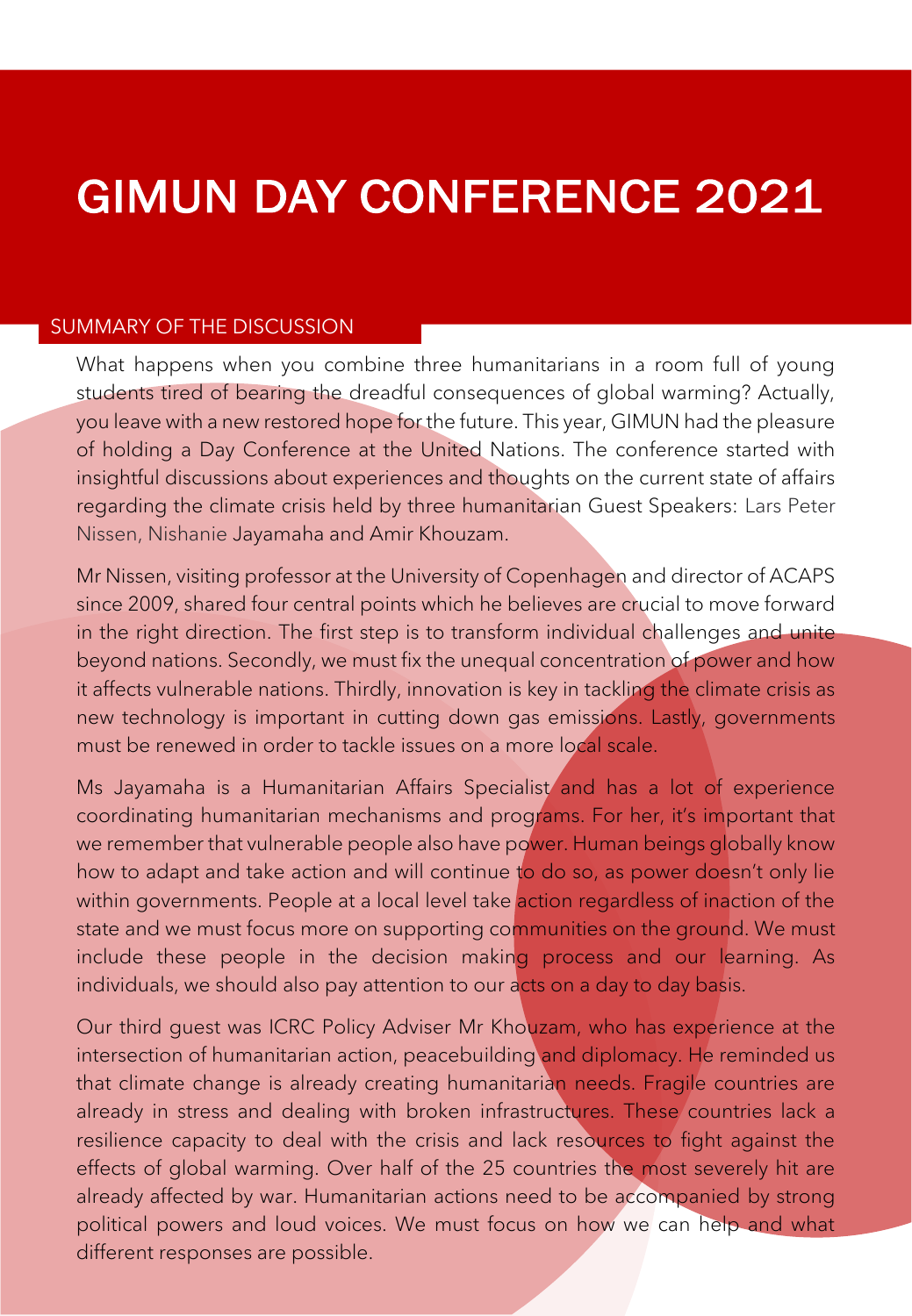#### SUMMARY OF THE DISCUSSION

What happens when you combine three humanitarians in a room full of young students tired of bearing the dreadful consequences of global warming? Actually, you leave with a new restored hope for the future. This year, GIMUN had the pleasure of holding a Day Conference at the United Nations. The conference started with insightful discussions about experiences and thoughts on the current state of affairs regarding the climate crisis held by three humanitarian Guest Speakers: Lars Peter Nissen, Nishanie Jayamaha and Amir Khouzam.

Mr Nissen, visiting professor at the University of Copenhagen and director of ACAPS since 2009, shared four central points which he believes are crucial to move forward in the right direction. The first step is to transform individual challenges and unite beyond nations. Secondly, we must fix the unequal concentration of power and how it affects vulnerable nations. Thirdly, innovation is key in tackling the climate crisis as new technology is important in cutting down gas emissions. Lastly, governments must be renewed in order to tackle issues on a more local scale.

Ms Jayamaha is a Humanitarian Affairs Specialist and has a lot of experience coordinating humanitarian mechanisms and programs. For her, it's important that we remember that vulnerable people also have power. Human beings globally know how to adapt and take action and will continue to do so, as power doesn't only lie within governments. People at a local level take action regardless of inaction of the state and we must focus more on supporting communities on the ground. We must include these people in the decision making process and our learning. As individuals, we should also pay attention to our acts on a day to day basis.

Our third guest was ICRC Policy Adviser Mr Khouzam, who has experience at the intersection of humanitarian action, peacebuilding and diplomacy. He reminded us that climate change is already creating humanitarian needs. Fragile countries are already in stress and dealing with broken infrastructures. These countries lack a resilience capacity to deal with the crisis and lack resources to fight against the effects of global warming. Over half of the 25 countries the most severely hit are already affected by war. Humanitarian actions need to be accompanied by strong political powers and loud voices. We must focus on how we can help and what different responses are possible.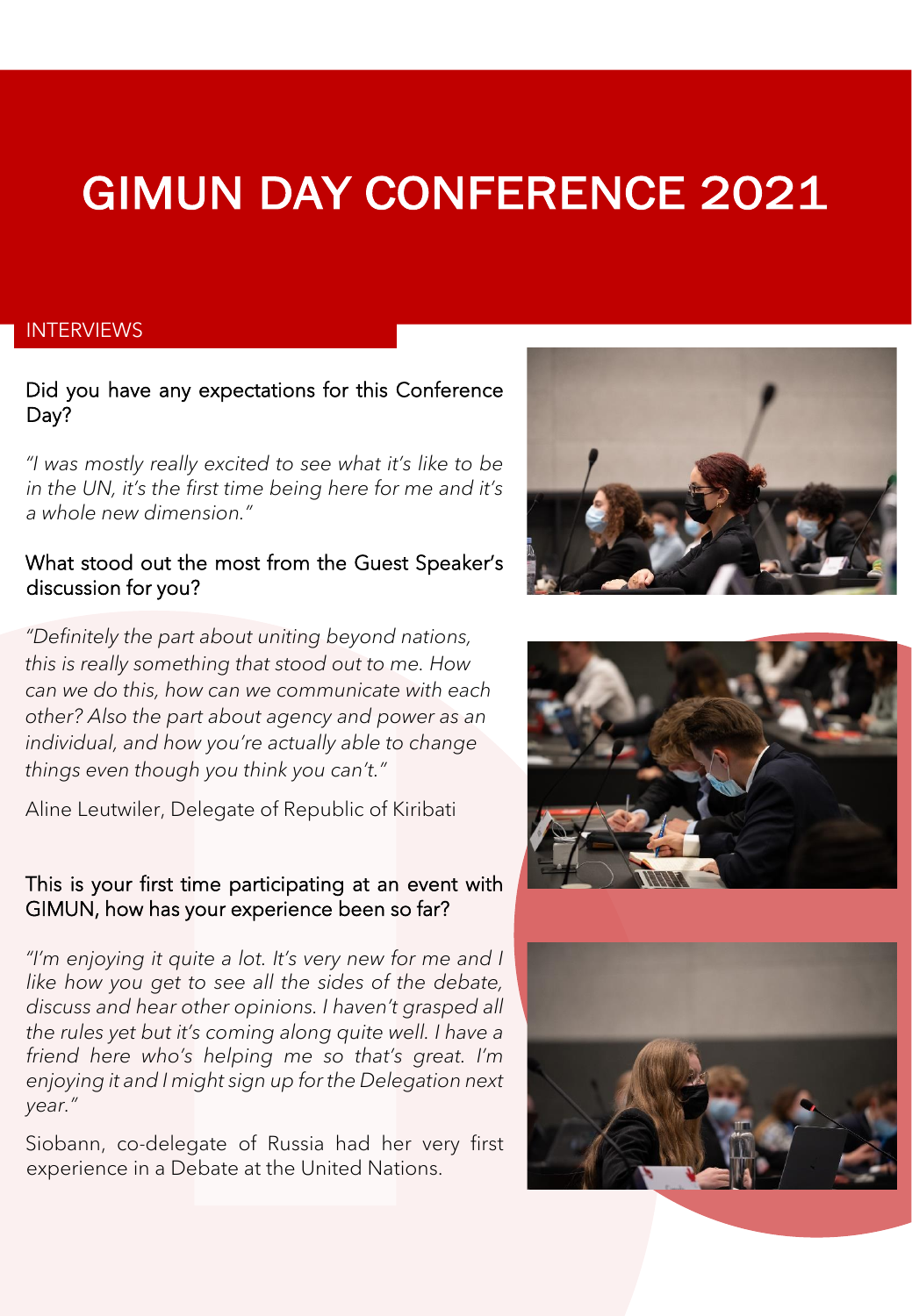#### **INTERVIEWS**

### Did you have any expectations for this Conference Day?

*"I was mostly really excited to see what it's like to be in the UN, it's the first time being here for me and it's a whole new dimension."*

### What stood out the most from the Guest Speaker's discussion for you?



Aline Leutwiler, Delegate of Republic of Kiribati

#### This is your first time participating at an event with GIMUN, how has your experience been so far?

*"I'm enjoying it quite a lot. It's very new for me and I like how you get to see all the sides of the debate, discuss and hear other opinions. I haven't grasped all the rules yet but it's coming along quite well. I have a friend here who's helping me so that's great. I'm enjoying it and I might sign up for the Delegation next year."*

Siobann, co-delegate of Russia had her very first experience in a Debate at the United Nations.





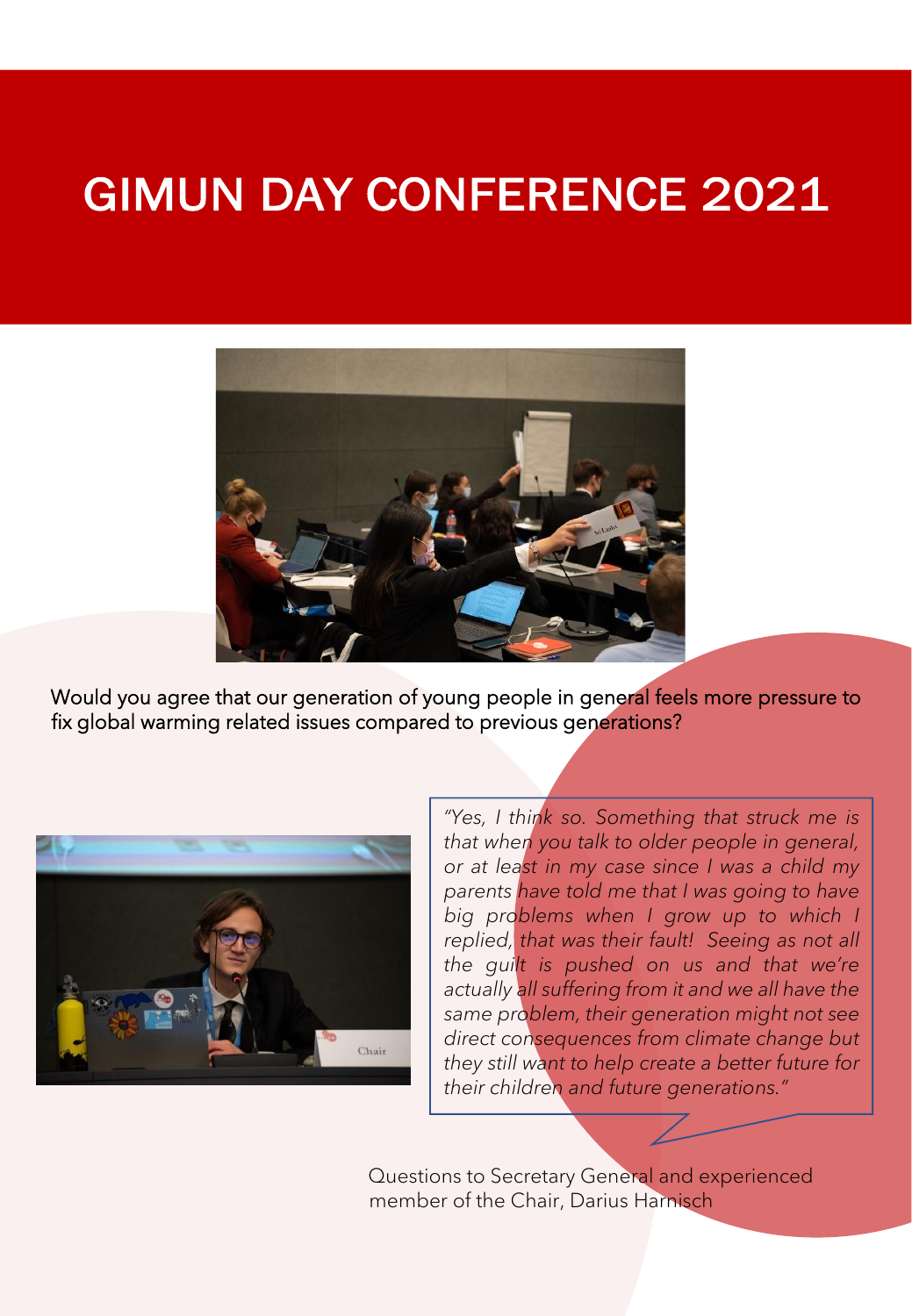

Would you agree that our generation of young people in general feels more pressure to fix global warming related issues compared to previous generations?



*"Yes, I think so. Something that struck me is that when you talk to older people in general, or at least in my case since I was a child my parents have told me that I was going to have big problems when I grow up to which I replied, that was their fault! Seeing as not all the guilt is pushed on us and that we're actually all suffering from it and we all have the same problem, their generation might not see direct consequences from climate change but they still want to help create a better future for their children and future generations."*

Questions to Secretary General and experienced member of the Chair, Darius Harnisch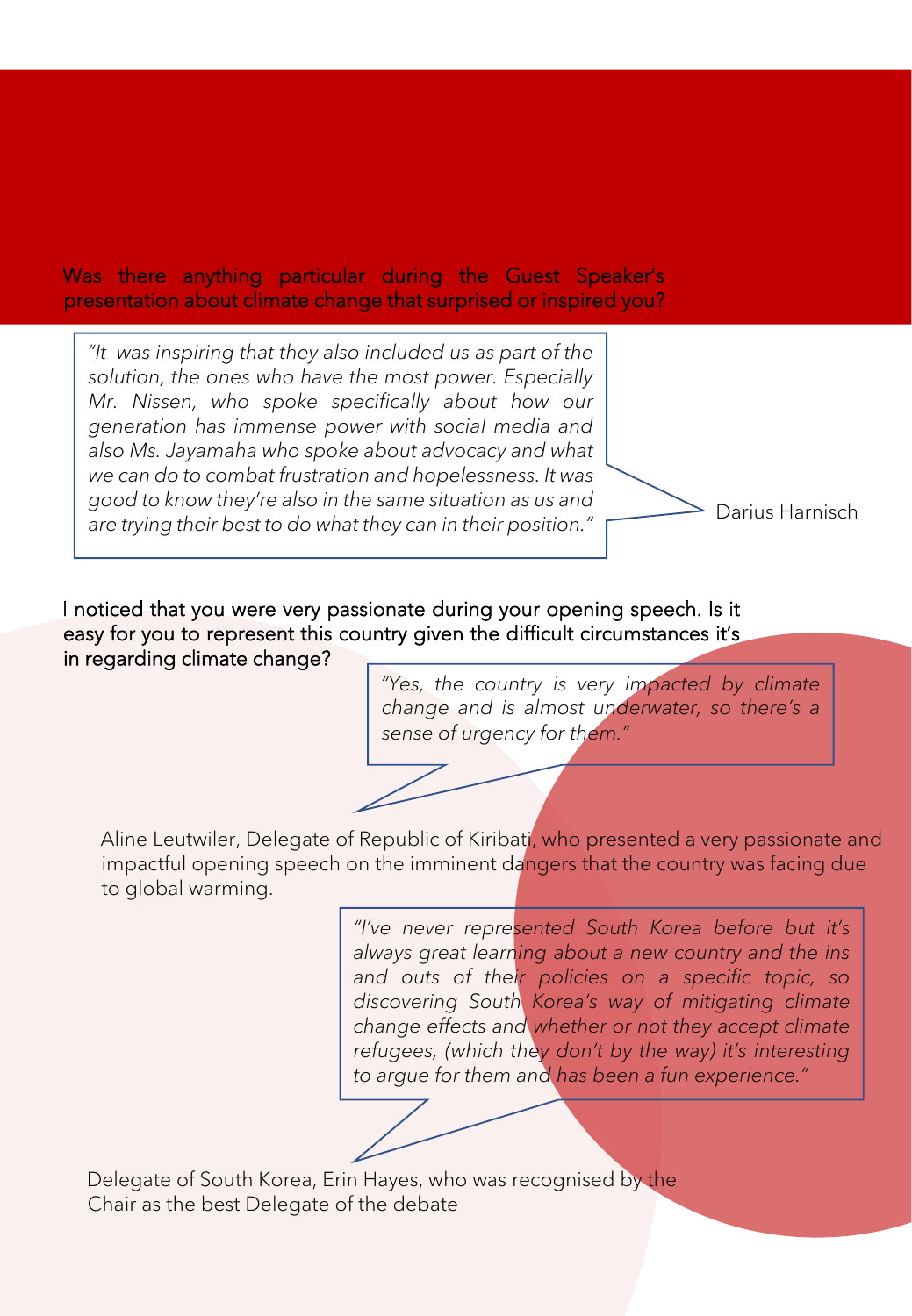### Was there anything particular during the Guest Speaker's presentation about climate change that surprised or inspired you?

*"It was inspiring that they also included us as part of the solution, the ones who have the most power. Especially Mr. Nissen, who spoke specifically about how our generation has immense power with social media and also Ms. Jayamaha who spoke about advocacy and what we can do to combat frustration and hopelessness. It was good to know they're also in the same situation as us and are trying their best to do what they can in their position."*

Darius Harnisch

I noticed that you were very passionate during your opening speech. Is it easy for you to represent this country given the difficult circumstances it's in regarding climate change?

> *"Yes, the country is very impacted by climate change and is almost underwater, so there's a sense of urgency for them."*

Aline Leutwiler, Delegate of Republic of Kiribati, who presented a very passionate and impactful opening speech on the imminent dangers that the country was facing due to global warming.

> *"I've never represented South Korea before but it's always great learning about a new country and the ins and outs of their policies on a specific topic, so discovering South Korea's way of mitigating climate change effects and whether or not they accept climate refugees, (which they don't by the way) it's interesting to argue for them and has been a fun experience."*

Delegate of South Korea, Erin Hayes, who was recognised by the Chair as the best Delegate of the debate